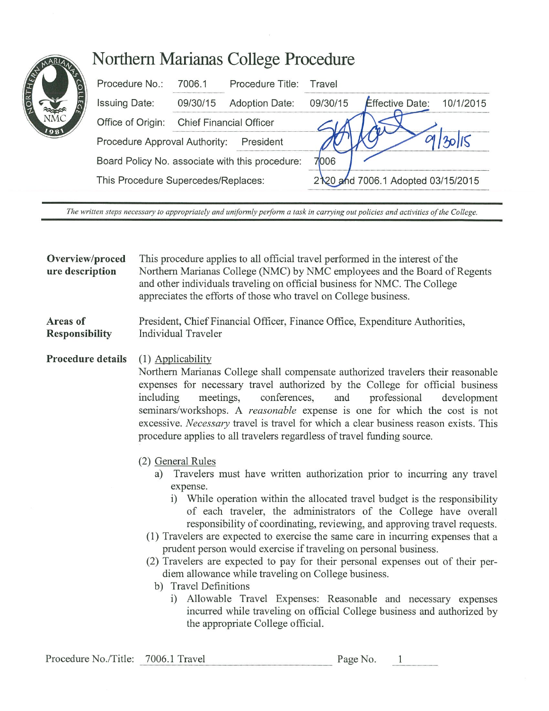## Northern Marianas College Procedure

|  | Procedure No.:                                                                                                                       | 70061    | Procedure Title:               | Travel   |                                    |           |
|--|--------------------------------------------------------------------------------------------------------------------------------------|----------|--------------------------------|----------|------------------------------------|-----------|
|  | <b>Issuing Date:</b>                                                                                                                 | 09/30/15 | <b>Adoption Date:</b>          | 09/30/15 | <b>Effective Date:</b>             | 10/1/2015 |
|  | Office of Origin:                                                                                                                    |          | <b>Chief Financial Officer</b> |          |                                    |           |
|  | Procedure Approval Authority:<br>President<br>Board Policy No. associate with this procedure:<br>This Procedure Supercedes/Replaces: |          |                                |          |                                    |           |
|  |                                                                                                                                      |          |                                | 7006     |                                    |           |
|  |                                                                                                                                      |          |                                |          | 2120 and 7006.1 Adopted 03/15/2015 |           |

The written steps necessary to appropriately and uniformly perform a task in carrying out policies and activities of the College.

## Overview/proced This procedure applies to all official travel performed in the interest of the ure description Northern Marianas College (NMC) by NMC employees and the Board of Regents and other individuals traveling on official business for NMC. The College appreciates the efforts of those who travel on College business. Areas of President, Chief Financial Officer, Finance Office, Expenditure Authorities, **Responsibility** Individual Traveler **Procedure details** (1) Applicability Northern Marianas College shall compensate authorized travelers their reasonable expenses for necessary travel authorized by the College for official business development including meetings. conferences. and professional seminars/workshops. A *reasonable* expense is one for which the cost is not excessive. *Necessary* travel is travel for which a clear business reason exists. This procedure applies to all travelers regardless of travel funding source. (2) General Rules Travelers must have written authorization prior to incurring any travel a) expense. i) While operation within the allocated travel budget is the responsibility of each traveler, the administrators of the College have overall responsibility of coordinating, reviewing, and approving travel requests. (1) Travelers are expected to exercise the same care in incurring expenses that a prudent person would exercise if traveling on personal business. (2) Travelers are expected to pay for their personal expenses out of their perdiem allowance while traveling on College business. b) Travel Definitions i) Allowable Travel Expenses: Reasonable and necessary expenses

incurred while traveling on official College business and authorized by the appropriate College official.

| Procedure No./Title: | 7006.1 Travel | Page No. |  |
|----------------------|---------------|----------|--|
|----------------------|---------------|----------|--|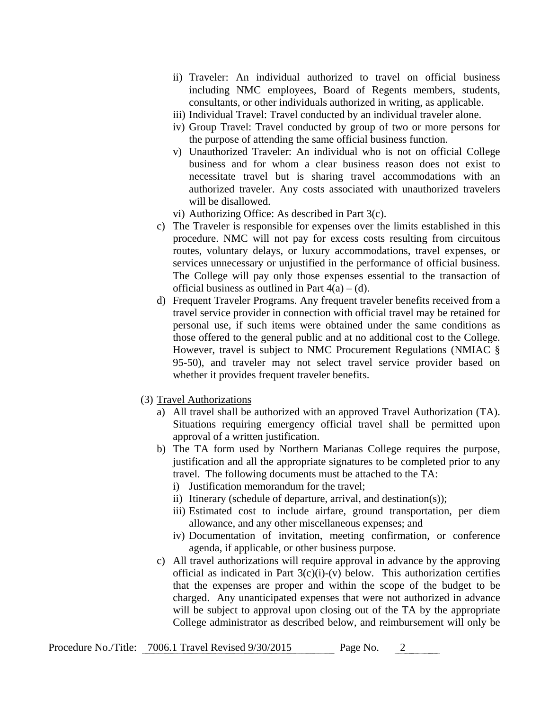- ii) Traveler: An individual authorized to travel on official business including NMC employees, Board of Regents members, students, consultants, or other individuals authorized in writing, as applicable.
- iii) Individual Travel: Travel conducted by an individual traveler alone.
- iv) Group Travel: Travel conducted by group of two or more persons for the purpose of attending the same official business function.
- v) Unauthorized Traveler: An individual who is not on official College business and for whom a clear business reason does not exist to necessitate travel but is sharing travel accommodations with an authorized traveler. Any costs associated with unauthorized travelers will be disallowed.
- vi) Authorizing Office: As described in Part 3(c).
- c) The Traveler is responsible for expenses over the limits established in this procedure. NMC will not pay for excess costs resulting from circuitous routes, voluntary delays, or luxury accommodations, travel expenses, or services unnecessary or unjustified in the performance of official business. The College will pay only those expenses essential to the transaction of official business as outlined in Part  $4(a) - (d)$ .
- d) Frequent Traveler Programs. Any frequent traveler benefits received from a travel service provider in connection with official travel may be retained for personal use, if such items were obtained under the same conditions as those offered to the general public and at no additional cost to the College. However, travel is subject to NMC Procurement Regulations (NMIAC § 95-50), and traveler may not select travel service provider based on whether it provides frequent traveler benefits.
- (3) Travel Authorizations
	- a) All travel shall be authorized with an approved Travel Authorization (TA). Situations requiring emergency official travel shall be permitted upon approval of a written justification.
	- b) The TA form used by Northern Marianas College requires the purpose, justification and all the appropriate signatures to be completed prior to any travel. The following documents must be attached to the TA:
		- i) Justification memorandum for the travel;
		- ii) Itinerary (schedule of departure, arrival, and destination(s));
		- iii) Estimated cost to include airfare, ground transportation, per diem allowance, and any other miscellaneous expenses; and
		- iv) Documentation of invitation, meeting confirmation, or conference agenda, if applicable, or other business purpose.
	- c) All travel authorizations will require approval in advance by the approving official as indicated in Part  $3(c)(i)-(v)$  below. This authorization certifies that the expenses are proper and within the scope of the budget to be charged. Any unanticipated expenses that were not authorized in advance will be subject to approval upon closing out of the TA by the appropriate College administrator as described below, and reimbursement will only be

| Procedure No./Title: 7006.1 Travel Revised 9/30/2015 | Page No. |  |
|------------------------------------------------------|----------|--|
|------------------------------------------------------|----------|--|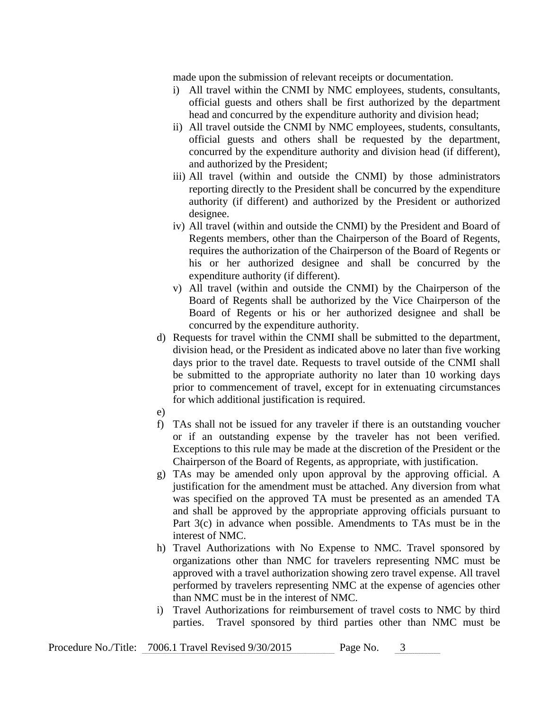made upon the submission of relevant receipts or documentation.

- i) All travel within the CNMI by NMC employees, students, consultants, official guests and others shall be first authorized by the department head and concurred by the expenditure authority and division head;
- ii) All travel outside the CNMI by NMC employees, students, consultants, official guests and others shall be requested by the department, concurred by the expenditure authority and division head (if different), and authorized by the President;
- iii) All travel (within and outside the CNMI) by those administrators reporting directly to the President shall be concurred by the expenditure authority (if different) and authorized by the President or authorized designee.
- iv) All travel (within and outside the CNMI) by the President and Board of Regents members, other than the Chairperson of the Board of Regents, requires the authorization of the Chairperson of the Board of Regents or his or her authorized designee and shall be concurred by the expenditure authority (if different).
- v) All travel (within and outside the CNMI) by the Chairperson of the Board of Regents shall be authorized by the Vice Chairperson of the Board of Regents or his or her authorized designee and shall be concurred by the expenditure authority.
- d) Requests for travel within the CNMI shall be submitted to the department, division head, or the President as indicated above no later than five working days prior to the travel date. Requests to travel outside of the CNMI shall be submitted to the appropriate authority no later than 10 working days prior to commencement of travel, except for in extenuating circumstances for which additional justification is required.
- e)
- f) TAs shall not be issued for any traveler if there is an outstanding voucher or if an outstanding expense by the traveler has not been verified. Exceptions to this rule may be made at the discretion of the President or the Chairperson of the Board of Regents, as appropriate, with justification.
- g) TAs may be amended only upon approval by the approving official. A justification for the amendment must be attached. Any diversion from what was specified on the approved TA must be presented as an amended TA and shall be approved by the appropriate approving officials pursuant to Part 3(c) in advance when possible. Amendments to TAs must be in the interest of NMC.
- h) Travel Authorizations with No Expense to NMC. Travel sponsored by organizations other than NMC for travelers representing NMC must be approved with a travel authorization showing zero travel expense. All travel performed by travelers representing NMC at the expense of agencies other than NMC must be in the interest of NMC.
- i) Travel Authorizations for reimbursement of travel costs to NMC by third parties. Travel sponsored by third parties other than NMC must be

| Procedure No./Title: 7006.1 Travel Revised 9/30/2015<br>Page No. |  |
|------------------------------------------------------------------|--|
|------------------------------------------------------------------|--|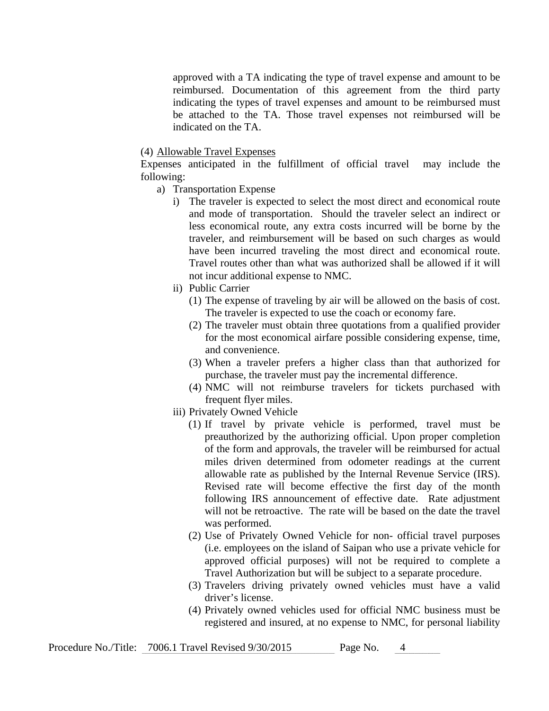approved with a TA indicating the type of travel expense and amount to be reimbursed. Documentation of this agreement from the third party indicating the types of travel expenses and amount to be reimbursed must be attached to the TA. Those travel expenses not reimbursed will be indicated on the TA.

## (4) Allowable Travel Expenses

Expenses anticipated in the fulfillment of official travel may include the following:

- a) Transportation Expense
	- i) The traveler is expected to select the most direct and economical route and mode of transportation. Should the traveler select an indirect or less economical route, any extra costs incurred will be borne by the traveler, and reimbursement will be based on such charges as would have been incurred traveling the most direct and economical route. Travel routes other than what was authorized shall be allowed if it will not incur additional expense to NMC.
	- ii) Public Carrier
		- (1) The expense of traveling by air will be allowed on the basis of cost. The traveler is expected to use the coach or economy fare.
		- (2) The traveler must obtain three quotations from a qualified provider for the most economical airfare possible considering expense, time, and convenience.
		- (3) When a traveler prefers a higher class than that authorized for purchase, the traveler must pay the incremental difference.
		- (4) NMC will not reimburse travelers for tickets purchased with frequent flyer miles.
	- iii) Privately Owned Vehicle
		- (1) If travel by private vehicle is performed, travel must be preauthorized by the authorizing official. Upon proper completion of the form and approvals, the traveler will be reimbursed for actual miles driven determined from odometer readings at the current allowable rate as published by the Internal Revenue Service (IRS). Revised rate will become effective the first day of the month following IRS announcement of effective date. Rate adjustment will not be retroactive. The rate will be based on the date the travel was performed.
		- (2) Use of Privately Owned Vehicle for non- official travel purposes (i.e. employees on the island of Saipan who use a private vehicle for approved official purposes) will not be required to complete a Travel Authorization but will be subject to a separate procedure.
		- (3) Travelers driving privately owned vehicles must have a valid driver's license.
		- (4) Privately owned vehicles used for official NMC business must be registered and insured, at no expense to NMC, for personal liability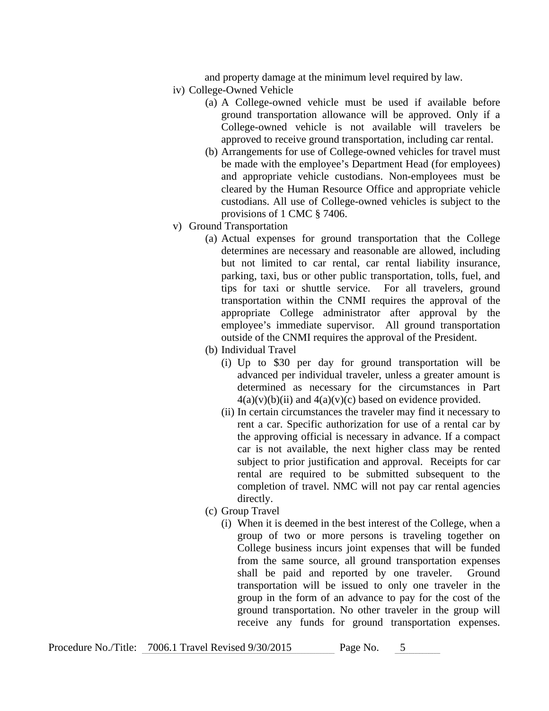and property damage at the minimum level required by law.

- iv) College-Owned Vehicle
	- (a) A College-owned vehicle must be used if available before ground transportation allowance will be approved. Only if a College-owned vehicle is not available will travelers be approved to receive ground transportation, including car rental.
	- (b) Arrangements for use of College-owned vehicles for travel must be made with the employee's Department Head (for employees) and appropriate vehicle custodians. Non-employees must be cleared by the Human Resource Office and appropriate vehicle custodians. All use of College-owned vehicles is subject to the provisions of 1 CMC § 7406.
- v) Ground Transportation
	- (a) Actual expenses for ground transportation that the College determines are necessary and reasonable are allowed, including but not limited to car rental, car rental liability insurance, parking, taxi, bus or other public transportation, tolls, fuel, and tips for taxi or shuttle service. For all travelers, ground transportation within the CNMI requires the approval of the appropriate College administrator after approval by the employee's immediate supervisor. All ground transportation outside of the CNMI requires the approval of the President.
	- (b) Individual Travel
		- (i) Up to \$30 per day for ground transportation will be advanced per individual traveler, unless a greater amount is determined as necessary for the circumstances in Part  $4(a)(v)(b)(ii)$  and  $4(a)(v)(c)$  based on evidence provided.
		- (ii) In certain circumstances the traveler may find it necessary to rent a car. Specific authorization for use of a rental car by the approving official is necessary in advance. If a compact car is not available, the next higher class may be rented subject to prior justification and approval. Receipts for car rental are required to be submitted subsequent to the completion of travel. NMC will not pay car rental agencies directly.
	- (c) Group Travel
		- (i) When it is deemed in the best interest of the College, when a group of two or more persons is traveling together on College business incurs joint expenses that will be funded from the same source, all ground transportation expenses shall be paid and reported by one traveler. Ground transportation will be issued to only one traveler in the group in the form of an advance to pay for the cost of the ground transportation. No other traveler in the group will receive any funds for ground transportation expenses.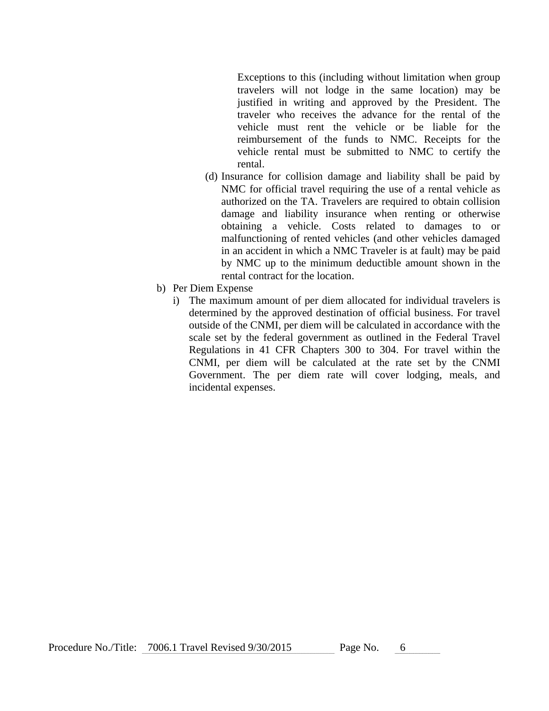Exceptions to this (including without limitation when group travelers will not lodge in the same location) may be justified in writing and approved by the President. The traveler who receives the advance for the rental of the vehicle must rent the vehicle or be liable for the reimbursement of the funds to NMC. Receipts for the vehicle rental must be submitted to NMC to certify the rental.

- (d) Insurance for collision damage and liability shall be paid by NMC for official travel requiring the use of a rental vehicle as authorized on the TA. Travelers are required to obtain collision damage and liability insurance when renting or otherwise obtaining a vehicle. Costs related to damages to or malfunctioning of rented vehicles (and other vehicles damaged in an accident in which a NMC Traveler is at fault) may be paid by NMC up to the minimum deductible amount shown in the rental contract for the location.
- b) Per Diem Expense
	- i) The maximum amount of per diem allocated for individual travelers is determined by the approved destination of official business. For travel outside of the CNMI, per diem will be calculated in accordance with the scale set by the federal government as outlined in the Federal Travel Regulations in 41 CFR Chapters 300 to 304. For travel within the CNMI, per diem will be calculated at the rate set by the CNMI Government. The per diem rate will cover lodging, meals, and incidental expenses.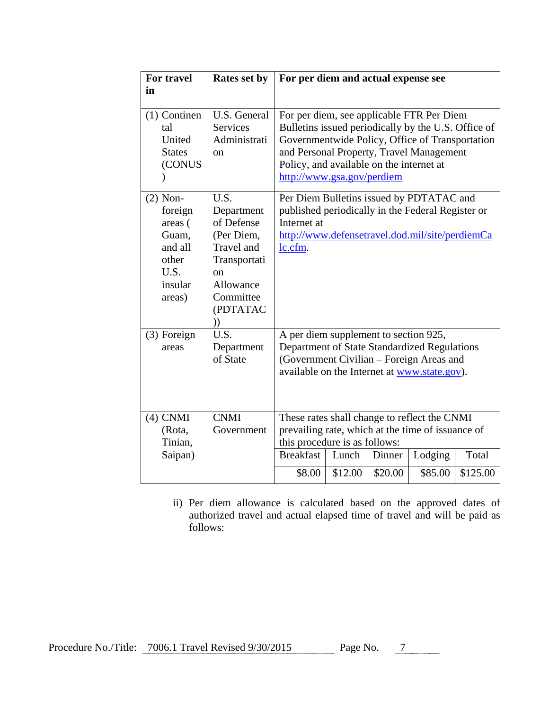| For travel<br>in                                                                           | Rates set by                                                                                                                                     | For per diem and actual expense see                                                                                                                                                                                                                                       |  |  |
|--------------------------------------------------------------------------------------------|--------------------------------------------------------------------------------------------------------------------------------------------------|---------------------------------------------------------------------------------------------------------------------------------------------------------------------------------------------------------------------------------------------------------------------------|--|--|
| $(1)$ Continen<br>tal<br>United<br><b>States</b><br>(CONUS                                 | U.S. General<br><b>Services</b><br>Administrati<br><sub>on</sub>                                                                                 | For per diem, see applicable FTR Per Diem<br>Bulletins issued periodically by the U.S. Office of<br>Governmentwide Policy, Office of Transportation<br>and Personal Property, Travel Management<br>Policy, and available on the internet at<br>http://www.gsa.gov/perdiem |  |  |
| $(2)$ Non-<br>foreign<br>areas (<br>Guam,<br>and all<br>other<br>U.S.<br>insular<br>areas) | U.S.<br>Department<br>of Defense<br>(Per Diem,<br><b>Travel</b> and<br>Transportati<br><sub>on</sub><br>Allowance<br>Committee<br>(PDTATAC<br>)) | Per Diem Bulletins issued by PDTATAC and<br>published periodically in the Federal Register or<br>Internet at<br>http://www.defensetravel.dod.mil/site/perdiemCa<br>lc.cfm.                                                                                                |  |  |
| (3) Foreign<br>areas                                                                       | U.S.<br>Department<br>of State                                                                                                                   | A per diem supplement to section 925,<br>Department of State Standardized Regulations<br>(Government Civilian – Foreign Areas and<br>available on the Internet at www.state.gov).                                                                                         |  |  |
| $(4)$ CNMI<br>(Rota,<br>Tinian,                                                            | <b>CNMI</b><br>Government                                                                                                                        | These rates shall change to reflect the CNMI<br>prevailing rate, which at the time of issuance of<br>this procedure is as follows:                                                                                                                                        |  |  |
| Saipan)                                                                                    |                                                                                                                                                  | <b>Breakfast</b><br>Lodging<br>Total<br>Lunch<br>Dinner<br>\$20.00<br>\$12.00<br>\$85.00<br>\$125.00<br>\$8.00                                                                                                                                                            |  |  |

ii) Per diem allowance is calculated based on the approved dates of authorized travel and actual elapsed time of travel and will be paid as follows: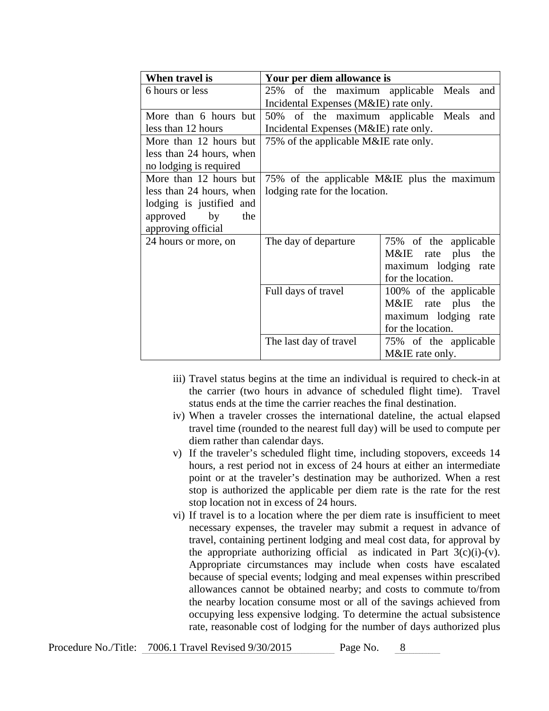| When travel is           | Your per diem allowance is            |                                             |  |  |
|--------------------------|---------------------------------------|---------------------------------------------|--|--|
| 6 hours or less          | 25% of the maximum applicable         | Meals<br>and                                |  |  |
|                          | Incidental Expenses (M&IE) rate only. |                                             |  |  |
| More than 6 hours but    | 50% of the maximum applicable Meals   | and                                         |  |  |
| less than 12 hours       | Incidental Expenses (M&IE) rate only. |                                             |  |  |
| More than 12 hours but   | 75% of the applicable M&IE rate only. |                                             |  |  |
| less than 24 hours, when |                                       |                                             |  |  |
| no lodging is required   |                                       |                                             |  |  |
| More than 12 hours but   |                                       | 75% of the applicable M&IE plus the maximum |  |  |
| less than 24 hours, when | lodging rate for the location.        |                                             |  |  |
| lodging is justified and |                                       |                                             |  |  |
| approved<br>by<br>the    |                                       |                                             |  |  |
| approving official       |                                       |                                             |  |  |
| 24 hours or more, on     | The day of departure                  | 75% of the applicable                       |  |  |
|                          |                                       | M&IE rate plus<br>the                       |  |  |
|                          |                                       | maximum lodging rate                        |  |  |
|                          |                                       | for the location.                           |  |  |
|                          | Full days of travel                   | 100% of the applicable                      |  |  |
|                          |                                       | M&IE rate plus<br>the                       |  |  |
|                          |                                       | maximum lodging rate                        |  |  |
|                          |                                       | for the location.                           |  |  |
|                          | The last day of travel                | 75% of the applicable                       |  |  |
|                          |                                       | M&IE rate only.                             |  |  |

- iii) Travel status begins at the time an individual is required to check-in at the carrier (two hours in advance of scheduled flight time). Travel status ends at the time the carrier reaches the final destination.
- iv) When a traveler crosses the international dateline, the actual elapsed travel time (rounded to the nearest full day) will be used to compute per diem rather than calendar days.
- v) If the traveler's scheduled flight time, including stopovers, exceeds 14 hours, a rest period not in excess of 24 hours at either an intermediate point or at the traveler's destination may be authorized. When a rest stop is authorized the applicable per diem rate is the rate for the rest stop location not in excess of 24 hours.
- vi) If travel is to a location where the per diem rate is insufficient to meet necessary expenses, the traveler may submit a request in advance of travel, containing pertinent lodging and meal cost data, for approval by the appropriate authorizing official as indicated in Part  $3(c)(i)-(v)$ . Appropriate circumstances may include when costs have escalated because of special events; lodging and meal expenses within prescribed allowances cannot be obtained nearby; and costs to commute to/from the nearby location consume most or all of the savings achieved from occupying less expensive lodging. To determine the actual subsistence rate, reasonable cost of lodging for the number of days authorized plus

| Procedure No./Title: 7006.1 Travel Revised 9/30/2015<br>Page No. |  |
|------------------------------------------------------------------|--|
|------------------------------------------------------------------|--|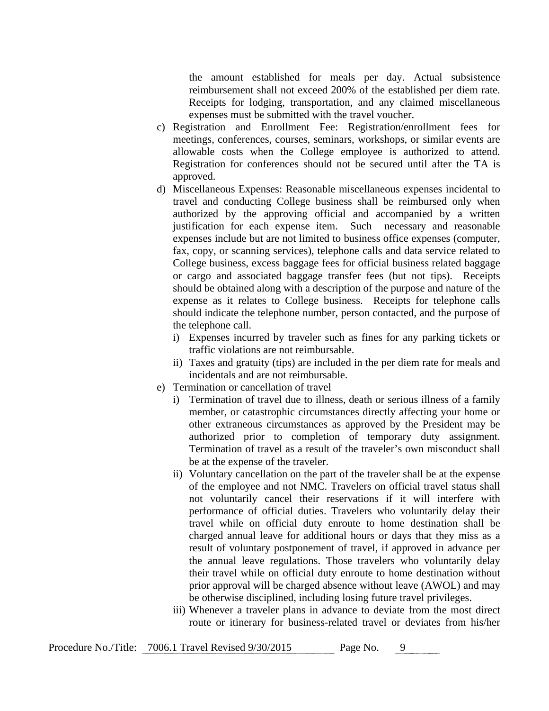the amount established for meals per day. Actual subsistence reimbursement shall not exceed 200% of the established per diem rate. Receipts for lodging, transportation, and any claimed miscellaneous expenses must be submitted with the travel voucher.

- c) Registration and Enrollment Fee: Registration/enrollment fees for meetings, conferences, courses, seminars, workshops, or similar events are allowable costs when the College employee is authorized to attend. Registration for conferences should not be secured until after the TA is approved.
- d) Miscellaneous Expenses: Reasonable miscellaneous expenses incidental to travel and conducting College business shall be reimbursed only when authorized by the approving official and accompanied by a written justification for each expense item. Such necessary and reasonable expenses include but are not limited to business office expenses (computer, fax, copy, or scanning services), telephone calls and data service related to College business, excess baggage fees for official business related baggage or cargo and associated baggage transfer fees (but not tips). Receipts should be obtained along with a description of the purpose and nature of the expense as it relates to College business. Receipts for telephone calls should indicate the telephone number, person contacted, and the purpose of the telephone call.
	- i) Expenses incurred by traveler such as fines for any parking tickets or traffic violations are not reimbursable.
	- ii) Taxes and gratuity (tips) are included in the per diem rate for meals and incidentals and are not reimbursable.
- e) Termination or cancellation of travel
	- i) Termination of travel due to illness, death or serious illness of a family member, or catastrophic circumstances directly affecting your home or other extraneous circumstances as approved by the President may be authorized prior to completion of temporary duty assignment. Termination of travel as a result of the traveler's own misconduct shall be at the expense of the traveler.
	- ii) Voluntary cancellation on the part of the traveler shall be at the expense of the employee and not NMC. Travelers on official travel status shall not voluntarily cancel their reservations if it will interfere with performance of official duties. Travelers who voluntarily delay their travel while on official duty enroute to home destination shall be charged annual leave for additional hours or days that they miss as a result of voluntary postponement of travel, if approved in advance per the annual leave regulations. Those travelers who voluntarily delay their travel while on official duty enroute to home destination without prior approval will be charged absence without leave (AWOL) and may be otherwise disciplined, including losing future travel privileges.
	- iii) Whenever a traveler plans in advance to deviate from the most direct route or itinerary for business-related travel or deviates from his/her

| Procedure No./Title: 7006.1 Travel Revised 9/30/2015 | Page No. |  |
|------------------------------------------------------|----------|--|
|------------------------------------------------------|----------|--|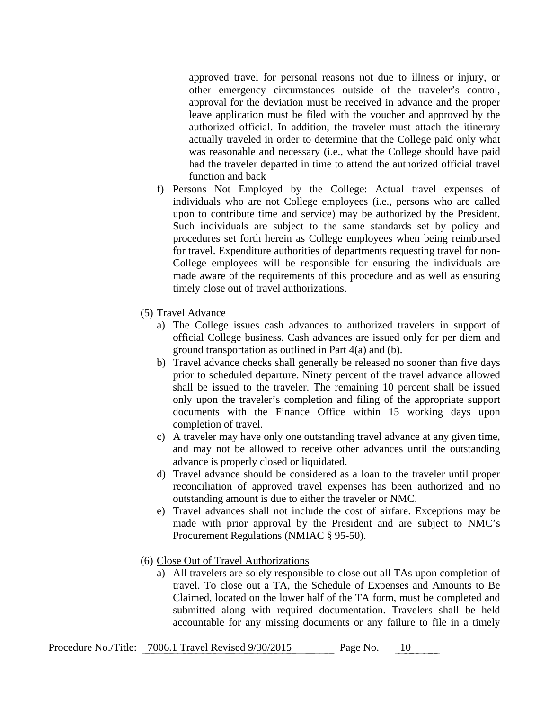approved travel for personal reasons not due to illness or injury, or other emergency circumstances outside of the traveler's control, approval for the deviation must be received in advance and the proper leave application must be filed with the voucher and approved by the authorized official. In addition, the traveler must attach the itinerary actually traveled in order to determine that the College paid only what was reasonable and necessary (i.e., what the College should have paid had the traveler departed in time to attend the authorized official travel function and back

- f) Persons Not Employed by the College: Actual travel expenses of individuals who are not College employees (i.e., persons who are called upon to contribute time and service) may be authorized by the President. Such individuals are subject to the same standards set by policy and procedures set forth herein as College employees when being reimbursed for travel. Expenditure authorities of departments requesting travel for non-College employees will be responsible for ensuring the individuals are made aware of the requirements of this procedure and as well as ensuring timely close out of travel authorizations.
- (5) Travel Advance
	- a) The College issues cash advances to authorized travelers in support of official College business. Cash advances are issued only for per diem and ground transportation as outlined in Part 4(a) and (b).
	- b) Travel advance checks shall generally be released no sooner than five days prior to scheduled departure. Ninety percent of the travel advance allowed shall be issued to the traveler. The remaining 10 percent shall be issued only upon the traveler's completion and filing of the appropriate support documents with the Finance Office within 15 working days upon completion of travel.
	- c) A traveler may have only one outstanding travel advance at any given time, and may not be allowed to receive other advances until the outstanding advance is properly closed or liquidated.
	- d) Travel advance should be considered as a loan to the traveler until proper reconciliation of approved travel expenses has been authorized and no outstanding amount is due to either the traveler or NMC.
	- e) Travel advances shall not include the cost of airfare. Exceptions may be made with prior approval by the President and are subject to NMC's Procurement Regulations (NMIAC § 95-50).
- (6) Close Out of Travel Authorizations
	- a) All travelers are solely responsible to close out all TAs upon completion of travel. To close out a TA, the Schedule of Expenses and Amounts to Be Claimed, located on the lower half of the TA form, must be completed and submitted along with required documentation. Travelers shall be held accountable for any missing documents or any failure to file in a timely

| Procedure No./Title: 7006.1 Travel Revised 9/30/2015 | Page No. |  |
|------------------------------------------------------|----------|--|
|------------------------------------------------------|----------|--|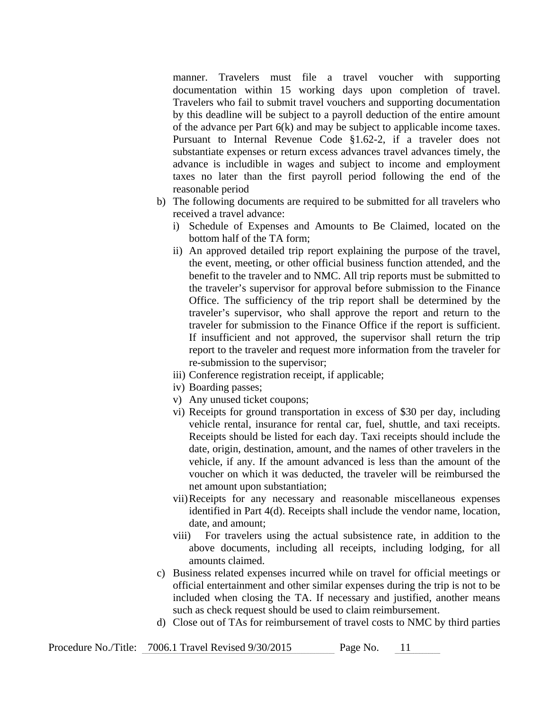manner. Travelers must file a travel voucher with supporting documentation within 15 working days upon completion of travel. Travelers who fail to submit travel vouchers and supporting documentation by this deadline will be subject to a payroll deduction of the entire amount of the advance per Part 6(k) and may be subject to applicable income taxes. Pursuant to Internal Revenue Code §1.62-2, if a traveler does not substantiate expenses or return excess advances travel advances timely, the advance is includible in wages and subject to income and employment taxes no later than the first payroll period following the end of the reasonable period

- b) The following documents are required to be submitted for all travelers who received a travel advance:
	- i) Schedule of Expenses and Amounts to Be Claimed, located on the bottom half of the TA form;
	- ii) An approved detailed trip report explaining the purpose of the travel, the event, meeting, or other official business function attended, and the benefit to the traveler and to NMC. All trip reports must be submitted to the traveler's supervisor for approval before submission to the Finance Office. The sufficiency of the trip report shall be determined by the traveler's supervisor, who shall approve the report and return to the traveler for submission to the Finance Office if the report is sufficient. If insufficient and not approved, the supervisor shall return the trip report to the traveler and request more information from the traveler for re-submission to the supervisor;
	- iii) Conference registration receipt, if applicable;
	- iv) Boarding passes;
	- v) Any unused ticket coupons;
	- vi) Receipts for ground transportation in excess of \$30 per day, including vehicle rental, insurance for rental car, fuel, shuttle, and taxi receipts. Receipts should be listed for each day. Taxi receipts should include the date, origin, destination, amount, and the names of other travelers in the vehicle, if any. If the amount advanced is less than the amount of the voucher on which it was deducted, the traveler will be reimbursed the net amount upon substantiation;
	- vii)Receipts for any necessary and reasonable miscellaneous expenses identified in Part 4(d). Receipts shall include the vendor name, location, date, and amount;
	- viii) For travelers using the actual subsistence rate, in addition to the above documents, including all receipts, including lodging, for all amounts claimed.
- c) Business related expenses incurred while on travel for official meetings or official entertainment and other similar expenses during the trip is not to be included when closing the TA. If necessary and justified, another means such as check request should be used to claim reimbursement.
- d) Close out of TAs for reimbursement of travel costs to NMC by third parties

| Procedure No./Title: 7006.1 Travel Revised 9/30/2015 | Page No. |  |
|------------------------------------------------------|----------|--|
|                                                      |          |  |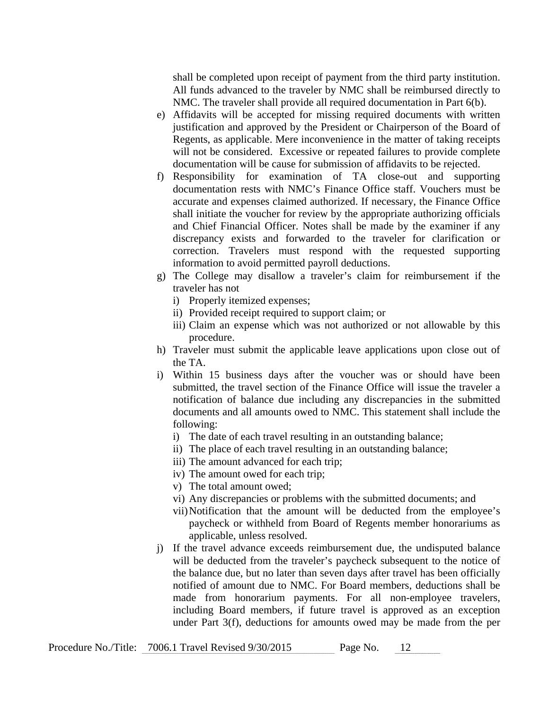shall be completed upon receipt of payment from the third party institution. All funds advanced to the traveler by NMC shall be reimbursed directly to NMC. The traveler shall provide all required documentation in Part 6(b).

- e) Affidavits will be accepted for missing required documents with written justification and approved by the President or Chairperson of the Board of Regents, as applicable. Mere inconvenience in the matter of taking receipts will not be considered. Excessive or repeated failures to provide complete documentation will be cause for submission of affidavits to be rejected.
- f) Responsibility for examination of TA close-out and supporting documentation rests with NMC's Finance Office staff. Vouchers must be accurate and expenses claimed authorized. If necessary, the Finance Office shall initiate the voucher for review by the appropriate authorizing officials and Chief Financial Officer. Notes shall be made by the examiner if any discrepancy exists and forwarded to the traveler for clarification or correction. Travelers must respond with the requested supporting information to avoid permitted payroll deductions.
- g) The College may disallow a traveler's claim for reimbursement if the traveler has not
	- i) Properly itemized expenses;
	- ii) Provided receipt required to support claim; or
	- iii) Claim an expense which was not authorized or not allowable by this procedure.
- h) Traveler must submit the applicable leave applications upon close out of the TA.
- i) Within 15 business days after the voucher was or should have been submitted, the travel section of the Finance Office will issue the traveler a notification of balance due including any discrepancies in the submitted documents and all amounts owed to NMC. This statement shall include the following:
	- i) The date of each travel resulting in an outstanding balance;
	- ii) The place of each travel resulting in an outstanding balance;
	- iii) The amount advanced for each trip;
	- iv) The amount owed for each trip;
	- v) The total amount owed;
	- vi) Any discrepancies or problems with the submitted documents; and
	- vii)Notification that the amount will be deducted from the employee's paycheck or withheld from Board of Regents member honorariums as applicable, unless resolved.
- j) If the travel advance exceeds reimbursement due, the undisputed balance will be deducted from the traveler's paycheck subsequent to the notice of the balance due, but no later than seven days after travel has been officially notified of amount due to NMC. For Board members, deductions shall be made from honorarium payments. For all non-employee travelers, including Board members, if future travel is approved as an exception under Part 3(f), deductions for amounts owed may be made from the per

| Procedure No./Title: 7006.1 Travel Revised 9/30/2015 | Page No. |  |
|------------------------------------------------------|----------|--|
|                                                      |          |  |